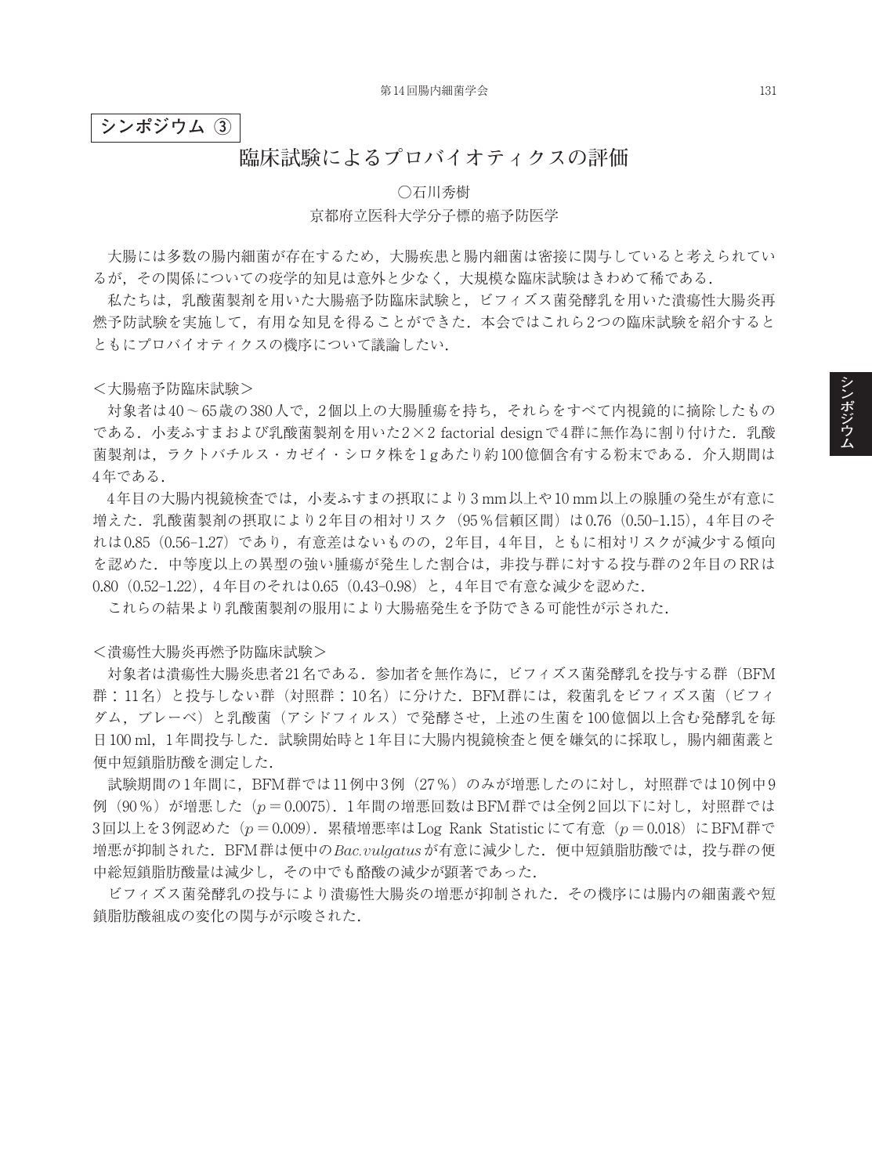## **シンポジウム ③**

# **臨床試験によるプロバイオティクスの評価**

# ○石川秀樹 京都府立医科大学分子標的癌予防医学

大腸には多数の腸内細菌が存在するため,大腸疾患と腸内細菌は密接に関与していると考えられてい るが,その関係についての疫学的知見は意外と少なく,大規模な臨床試験はきわめて稀である.

私たちは,乳酸菌製剤を用いた大腸癌予防臨床試験と,ビフィズス菌発酵乳を用いた潰瘍性大腸炎再 燃予防試験を実施して,有用な知見を得ることができた.本会ではこれら2つの臨床試験を紹介すると ともにプロバイオティクスの機序について議論したい.

<大腸癌予防臨床試験>

対象者は40~65歳の380人で,2個以上の大腸腫瘍を持ち,それらをすべて内視鏡的に摘除したもの である. 小麦ふすまおよび乳酸菌製剤を用いた2×2 factorial designで4群に無作為に割り付けた. 乳酸 菌製剤は,ラクトバチルス・カゼイ・シロタ株を1 gあたり約100億個含有する粉末である.介入期間は 4年である.

4年目の大腸内視鏡検査では,小麦ふすまの摂取により3 mm以上や10 mm以上の腺腫の発生が有意に 増えた.乳酸菌製剤の摂取により2年目の相対リスク(95%信頼区間)は0.76(0.50–1.15),4年目のそ れは0.85(0.56–1.27)であり,有意差はないものの,2年目,4年目,ともに相対リスクが減少する傾向 を認めた.中等度以上の異型の強い腫瘍が発生した割合は,非投与群に対する投与群の2年目のRRは 0.80(0.52–1.22),4年目のそれは0.65(0.43–0.98)と,4年目で有意な減少を認めた.

これらの結果より乳酸菌製剤の服用により大腸癌発生を予防できる可能性が示された.

### <潰瘍性大腸炎再燃予防臨床試験>

対象者は潰瘍性大腸炎患者21名である.参加者を無作為に,ビフィズス菌発酵乳を投与する群(BFM 群:11名)と投与しない群(対照群:10名)に分けた. BFM群には、殺菌乳をビフィズス菌(ビフィ ダム,ブレーベ)と乳酸菌(アシドフィルス)で発酵させ,上述の生菌を100億個以上含む発酵乳を毎 日100 ml. 1年間投与した. 試験開始時と1年目に大腸内視鏡検査と便を嫌気的に採取し, 腸内細菌叢と 便中短鎖脂肪酸を測定した.

試験期間の1年間に,BFM群では11例中3例(27%)のみが増悪したのに対し,対照群では10例中9 例(90%)が増悪した(*p*=0.0075).1年間の増悪回数はBFM群では全例2回以下に対し,対照群では 3回以上を3例認めた(*p*=0.009).累積増悪率はLog Rank Statisticにて有意(*p*=0.018)にBFM群で 増悪が抑制された.BFM群は便中の*Bac.vulgatus*が有意に減少した.便中短鎖脂肪酸では,投与群の便 中総短鎖脂肪酸量は減少し,その中でも酪酸の減少が顕著であった.

ビフィズス菌発酵乳の投与により潰瘍性大腸炎の増悪が抑制された.その機序には腸内の細菌叢や短 鎖脂肪酸組成の変化の関与が示唆された.